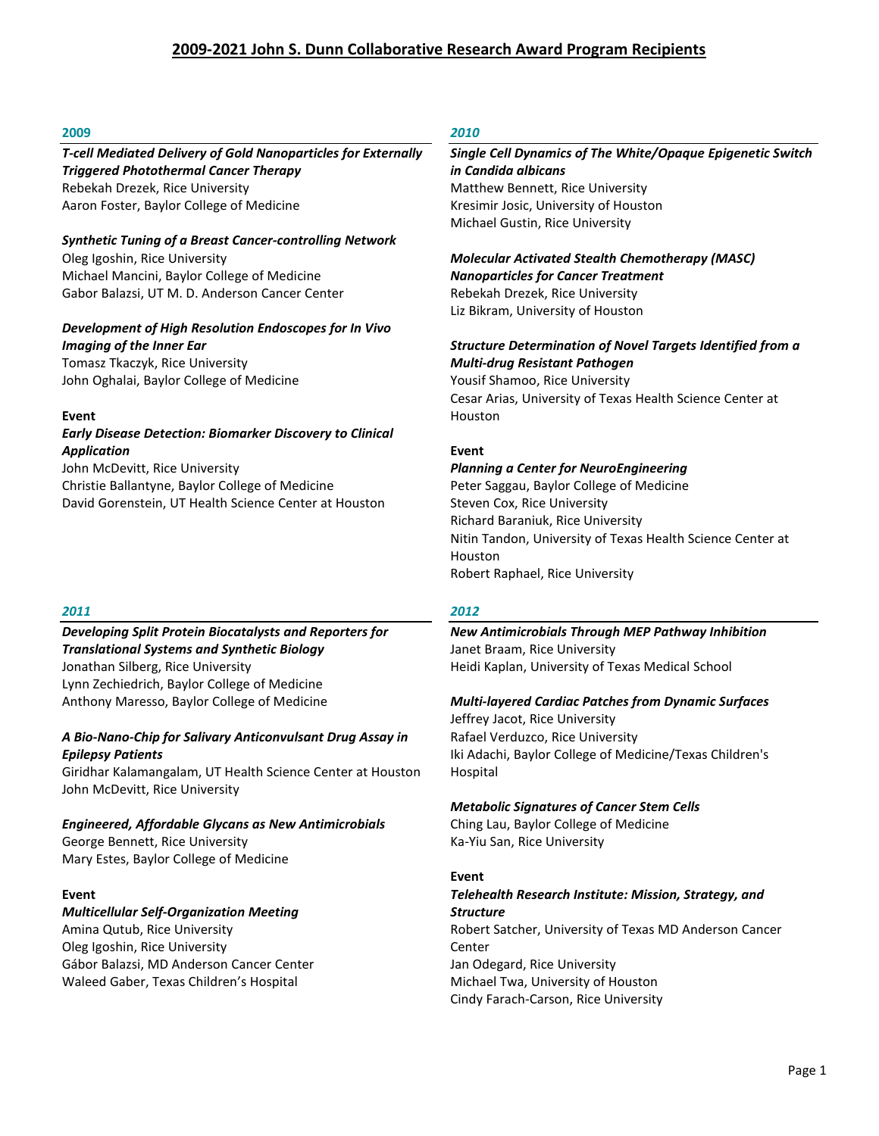#### **2009**

# *T-cell Mediated Delivery of Gold Nanoparticles for Externally Triggered Photothermal Cancer Therapy*

Rebekah Drezek, Rice University Aaron Foster, Baylor College of Medicine

#### *Synthetic Tuning of a Breast Cancer-controlling Network*

Oleg Igoshin, Rice University Michael Mancini, Baylor College of Medicine Gabor Balazsi, UT M. D. Anderson Cancer Center

### *Development of High Resolution Endoscopes for In Vivo Imaging of the Inner Ear*

Tomasz Tkaczyk, Rice University John Oghalai, Baylor College of Medicine

#### **Event**

#### *Early Disease Detection: Biomarker Discovery to Clinical Application*

John McDevitt, Rice University Christie Ballantyne, Baylor College of Medicine David Gorenstein, UT Health Science Center at Houston

#### *2011*

# *Developing Split Protein Biocatalysts and Reporters for Translational Systems and Synthetic Biology* Jonathan Silberg, Rice University

Lynn Zechiedrich, Baylor College of Medicine Anthony Maresso, Baylor College of Medicine

#### *A Bio-Nano-Chip for Salivary Anticonvulsant Drug Assay in Epilepsy Patients*

Giridhar Kalamangalam, UT Health Science Center at Houston John McDevitt, Rice University

# *Engineered, Affordable Glycans as New Antimicrobials*

George Bennett, Rice University Mary Estes, Baylor College of Medicine

#### **Event**

#### *Multicellular Self-Organization Meeting* Amina Qutub, Rice University

Oleg Igoshin, Rice University Gábor Balazsi, MD Anderson Cancer Center Waleed Gaber, Texas Children's Hospital

# *2010*

### *Single Cell Dynamics of The White/Opaque Epigenetic Switch in Candida albicans* Matthew Bennett, Rice University Kresimir Josic, University of Houston Michael Gustin, Rice University

*Molecular Activated Stealth Chemotherapy (MASC) Nanoparticles for Cancer Treatment* Rebekah Drezek, Rice University Liz Bikram, University of Houston

#### *Structure Determination of Novel Targets Identified from a Multi-drug Resistant Pathogen*

Yousif Shamoo, Rice University Cesar Arias, University of Texas Health Science Center at Houston

#### **Event**

#### *Planning a Center for NeuroEngineering*

Peter Saggau, Baylor College of Medicine Steven Cox, Rice University Richard Baraniuk, Rice University Nitin Tandon, University of Texas Health Science Center at Houston Robert Raphael, Rice University

#### *2012*

*New Antimicrobials Through MEP Pathway Inhibition* Janet Braam, Rice University Heidi Kaplan, University of Texas Medical School

#### *Multi-layered Cardiac Patches from Dynamic Surfaces*

Jeffrey Jacot, Rice University Rafael Verduzco, Rice University Iki Adachi, Baylor College of Medicine/Texas Children's Hospital

#### *Metabolic Signatures of Cancer Stem Cells*

Ching Lau, Baylor College of Medicine Ka-Yiu San, Rice University

#### **Event**

#### *Telehealth Research Institute: Mission, Strategy, and Structure* Robert Satcher, University of Texas MD Anderson Cancer

Center Jan Odegard, Rice University Michael Twa, University of Houston Cindy Farach-Carson, Rice University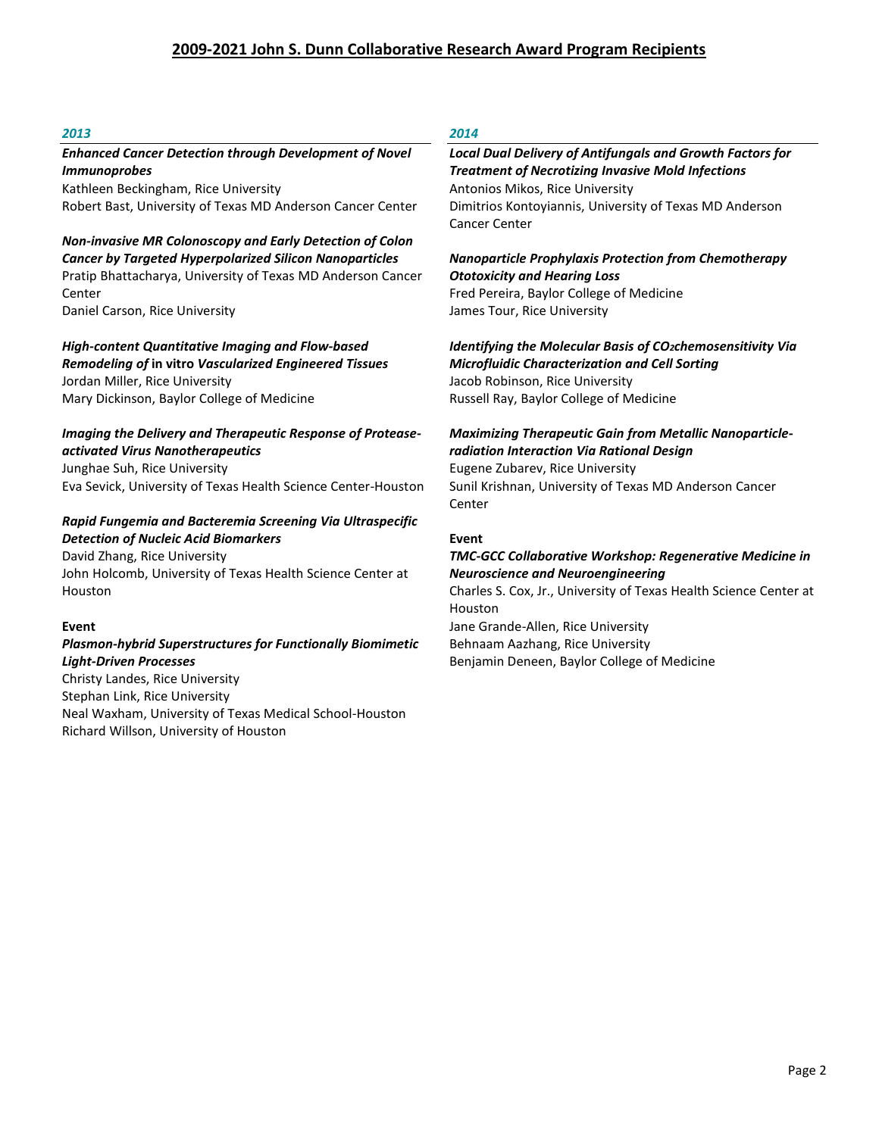#### *2013*

#### *Enhanced Cancer Detection through Development of Novel Immunoprobes*

Kathleen Beckingham, Rice University Robert Bast, University of Texas MD Anderson Cancer Center

*Non-invasive MR Colonoscopy and Early Detection of Colon Cancer by Targeted Hyperpolarized Silicon Nanoparticles* Pratip Bhattacharya, University of Texas MD Anderson Cancer Center Daniel Carson, Rice University

*High-content Quantitative Imaging and Flow-based*

*Remodeling of* **in vitro** *Vascularized Engineered Tissues* Jordan Miller, Rice University Mary Dickinson, Baylor College of Medicine

### *Imaging the Delivery and Therapeutic Response of Proteaseactivated Virus Nanotherapeutics*

Junghae Suh, Rice University Eva Sevick, University of Texas Health Science Center-Houston

#### *Rapid Fungemia and Bacteremia Screening Via Ultraspecific Detection of Nucleic Acid Biomarkers*

David Zhang, Rice University John Holcomb, University of Texas Health Science Center at Houston

#### **Event**

#### *Plasmon-hybrid Superstructures for Functionally Biomimetic Light-Driven Processes*

Christy Landes, Rice University Stephan Link, Rice University Neal Waxham, University of Texas Medical School-Houston Richard Willson, University of Houston

# *2014*

#### *Local Dual Delivery of Antifungals and Growth Factors for Treatment of Necrotizing Invasive Mold Infections* Antonios Mikos, Rice University Dimitrios Kontoyiannis, University of Texas MD Anderson Cancer Center

# *Nanoparticle Prophylaxis Protection from Chemotherapy Ototoxicity and Hearing Loss* Fred Pereira, Baylor College of Medicine

James Tour, Rice University

*Identifying the Molecular Basis of CO2chemosensitivity Via Microfluidic Characterization and Cell Sorting* Jacob Robinson, Rice University Russell Ray, Baylor College of Medicine

#### *Maximizing Therapeutic Gain from Metallic Nanoparticleradiation Interaction Via Rational Design*  Eugene Zubarev, Rice University

Sunil Krishnan, University of Texas MD Anderson Cancer Center

#### **Event**

#### *TMC-GCC Collaborative Workshop: Regenerative Medicine in Neuroscience and Neuroengineering*

Charles S. Cox, Jr., University of Texas Health Science Center at Houston Jane Grande-Allen, Rice University

Behnaam Aazhang, Rice University Benjamin Deneen, Baylor College of Medicine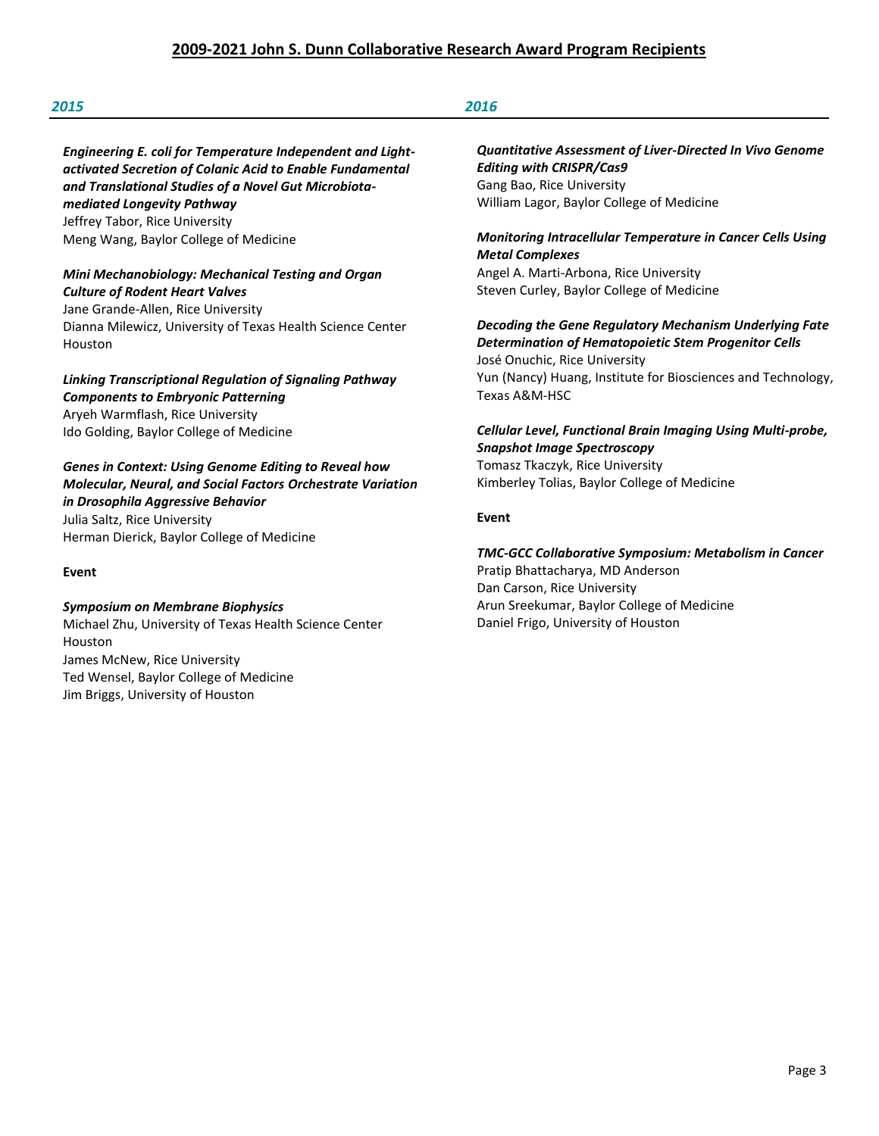### *2015 2016*

*Engineering E. coli for Temperature Independent and Lightactivated Secretion of Colanic Acid to Enable Fundamental and Translational Studies of a Novel Gut Microbiotamediated Longevity Pathway* Jeffrey Tabor, Rice University Meng Wang, Baylor College of Medicine

#### *Mini Mechanobiology: Mechanical Testing and Organ Culture of Rodent Heart Valves*

Jane Grande-Allen, Rice University Dianna Milewicz, University of Texas Health Science Center Houston

# *Linking Transcriptional Regulation of Signaling Pathway Components to Embryonic Patterning* Aryeh Warmflash, Rice University Ido Golding, Baylor College of Medicine

*Genes in Context: Using Genome Editing to Reveal how Molecular, Neural, and Social Factors Orchestrate Variation in Drosophila Aggressive Behavior* Julia Saltz, Rice University Herman Dierick, Baylor College of Medicine

**Event**

# *Symposium on Membrane Biophysics*

Michael Zhu, University of Texas Health Science Center Houston James McNew, Rice University Ted Wensel, Baylor College of Medicine Jim Briggs, University of Houston

*Quantitative Assessment of Liver-Directed In Vivo Genome Editing with CRISPR/Cas9* Gang Bao, Rice University William Lagor, Baylor College of Medicine

# *Monitoring Intracellular Temperature in Cancer Cells Using Metal Complexes*

Angel A. Marti-Arbona, Rice University Steven Curley, Baylor College of Medicine

*Decoding the Gene Regulatory Mechanism Underlying Fate Determination of Hematopoietic Stem Progenitor Cells*  José Onuchic, Rice University Yun (Nancy) Huang, Institute for Biosciences and Technology, Texas A&M-HSC

# *Cellular Level, Functional Brain Imaging Using Multi-probe, Snapshot Image Spectroscopy*  Tomasz Tkaczyk, Rice University

Kimberley Tolias, Baylor College of Medicine

## **Event**

# *TMC-GCC Collaborative Symposium: Metabolism in Cancer*

Pratip Bhattacharya, MD Anderson Dan Carson, Rice University Arun Sreekumar, Baylor College of Medicine Daniel Frigo, University of Houston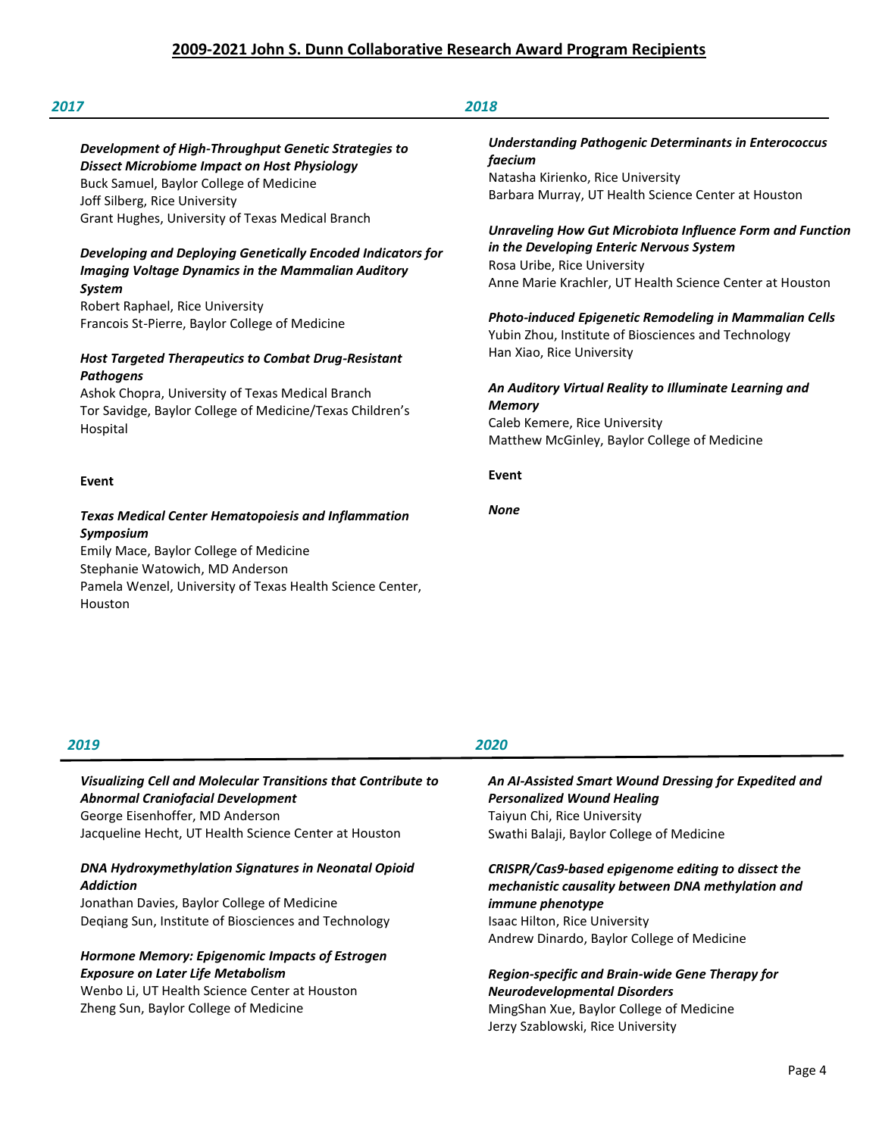#### *Development of High-Throughput Genetic Strategies to Dissect Microbiome Impact on Host Physiology*

Buck Samuel, Baylor College of Medicine Joff Silberg, Rice University Grant Hughes, University of Texas Medical Branch

# *Developing and Deploying Genetically Encoded Indicators for Imaging Voltage Dynamics in the Mammalian Auditory*

*System* Robert Raphael, Rice University Francois St-Pierre, Baylor College of Medicine

### *Host Targeted Therapeutics to Combat Drug-Resistant Pathogens*

Ashok Chopra, University of Texas Medical Branch Tor Savidge, Baylor College of Medicine/Texas Children's Hospital

#### **Event**

# *Texas Medical Center Hematopoiesis and Inflammation Symposium*

Emily Mace, Baylor College of Medicine Stephanie Watowich, MD Anderson Pamela Wenzel, University of Texas Health Science Center, Houston

# *Understanding Pathogenic Determinants in Enterococcus faecium* Natasha Kirienko, Rice University

Barbara Murray, UT Health Science Center at Houston

#### *Unraveling How Gut Microbiota Influence Form and Function in the Developing Enteric Nervous System* Rosa Uribe, Rice University Anne Marie Krachler, UT Health Science Center at Houston

*Photo-induced Epigenetic Remodeling in Mammalian Cells* Yubin Zhou, Institute of Biosciences and Technology Han Xiao, Rice University

#### *An Auditory Virtual Reality to Illuminate Learning and Memory*

Caleb Kemere, Rice University Matthew McGinley, Baylor College of Medicine

**Event**

*None*

#### *2019*

# *Visualizing Cell and Molecular Transitions that Contribute to Abnormal Craniofacial Development* George Eisenhoffer, MD Anderson Jacqueline Hecht, UT Health Science Center at Houston

## *DNA Hydroxymethylation Signatures in Neonatal Opioid Addiction*

Jonathan Davies, Baylor College of Medicine Deqiang Sun, Institute of Biosciences and Technology

# *Hormone Memory: Epigenomic Impacts of Estrogen Exposure on Later Life Metabolism*

Wenbo Li, UT Health Science Center at Houston Zheng Sun, Baylor College of Medicine

# *2020*

#### *An AI-Assisted Smart Wound Dressing for Expedited and Personalized Wound Healing* Taiyun Chi, Rice University Swathi Balaji, Baylor College of Medicine

# *CRISPR/Cas9-based epigenome editing to dissect the mechanistic causality between DNA methylation and immune phenotype*

Isaac Hilton, Rice University Andrew Dinardo, Baylor College of Medicine

### *Region-specific and Brain-wide Gene Therapy for Neurodevelopmental Disorders*  MingShan Xue, Baylor College of Medicine Jerzy Szablowski, Rice University

Page 4